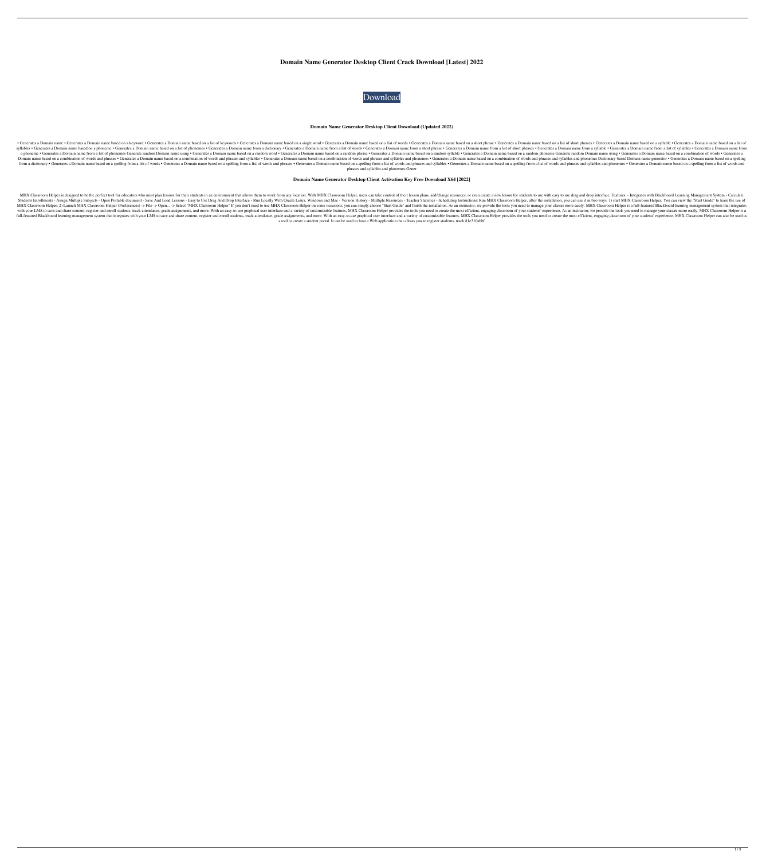# **Domain Name Generator Desktop Client Crack Download [Latest] 2022**



## **Domain Name Generator Desktop Client Download (Updated 2022)**

• Generates a Domain name based on a keyword • Generates a Domain name based on a list of keywords • Generates a Domain name based on a list of short phrases • Generates a Domain name based on a list of short phrases • Gen Syllables • Generates a Domain name based on a phoneme • Generates a Domain name hassed on a list of phonemes • Generates a Domain name from a dictionary • Generates a Domain name from a short phrases • Generates a Domain a phoneme • Generates a Domain name from a list of phonemes Generate random Domain name using • Generates a Domain name based on a random word • Generates a Domain name based on a random phoneme Generates andom Domain name Domain name based on a combination of words and phrases . Generates a Domain name based on a combination of words and phrases and syllables . Generates a Domain name based on a combination of words and phrases and syllable from a dictionary . Generates a Domain name based on a spelling from a list of words . Generates a Domain name based on a spelling from a list of words and phrases . Generates a Domain name based on a spelling from a list phrases and syllables and phonemes Gener

## **Domain Name Generator Desktop Client Activation Key Free Download X64 [2022]**

MHX Classroom Helper is designed to be the perfect tool for educators who must plan lessons for their students in an environment that allows them to work from any location. With MHX Classroom Helper, users can take control Students Enrollments - Assign Multiple Subjects - Open Portable document - Save And Load Lessons - Easy to Use Drag And Drop Interface - Run Locally With Oracle Linux, Windows and Mac - Version History - Multiple Resources MHX Classroom Helper. 2) Launch MHX Classroom Helper (Preferences) -> File -> Open... -> Select "MHX Classroom Helper" If you don't need to use MHX Classroom Helper on some occasions, you can simply choose "Start Guide" an with your LMS to save and share content, register and enroll students, track attendance, grade assignments, and more. With an easy-to-use graphical user interface and a variety of customizable features, MHX Classroom of yo I full-featured Blackboard learning management system that integrates with your LMS to save and share content, register and enroll students, track attendance, grade assignments, and more. With an easy-to-use graphical user a tool to create a student portal. It can be used to host a Web application that allows you to register students, track 81e310abbf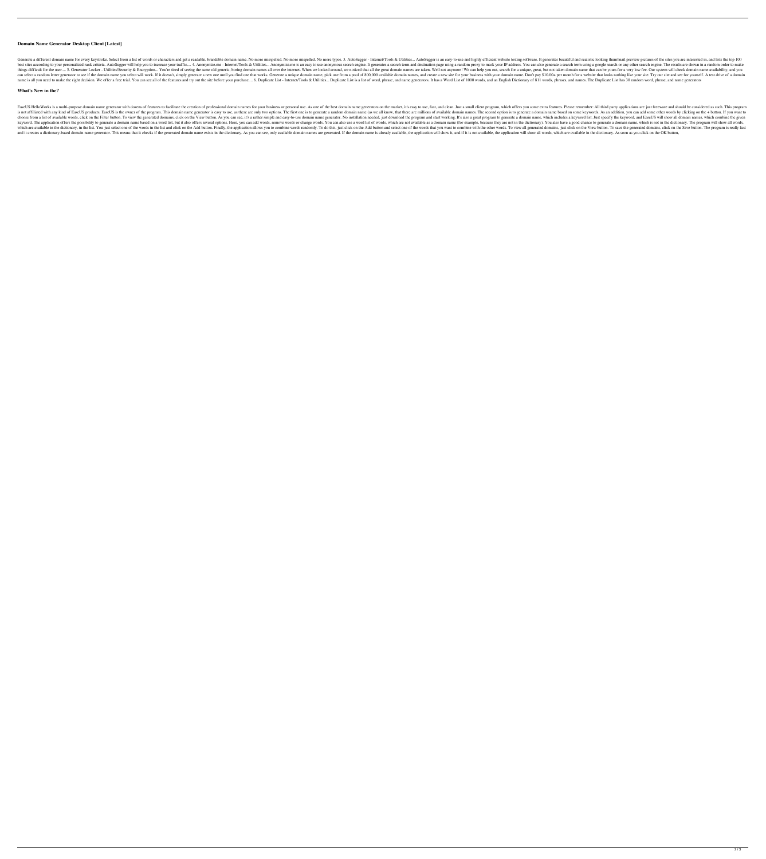## **Domain Name Generator Desktop Client [Latest]**

Generate a different domain name for every keystroke. Select from a list of words or characters and get a readable, brandable domain name. No more misspelled. No more misspelled. No more typos. 3. AutoSugger - Internet/Too best sites according to your personalized rank criteria. AutoSugger will help you to increase your traffic.... 4. Anonymize.me - Internet/Tools & Utilities... Anonymize.me is an easy to use anonymous search engine. It gene 5. Generator Locker - Utilities/Security & Encryption... You're tired of seeing the same old generic, boring domain names all over the internet. When we looked around, we noticed that all the great domain names are taken d can select a random letter generator to see if the domain name you select will work. If it doesn't, simply generate a new one until you find one that works. Generate a unique domain name, pick one from a pool of 800,000 av name is all you need to make the right decision. We offer a free trial. You can see all of the features and try out the site before your purchase.... 6. Duplicate List - Internet/Tools & Utilities... Duplicate List is a li

#### **What's New in the?**

EaseUS HelloWorks is a multi-purpose domain name generator with dozens of features to facilitate the creation of professional domain names for your business or personal use. As one of the best domain name generators on the is not affiliated with any kind of EaseUS products. EaseUS is the owner of the program. This domain name generator is easy to use, as there are only two options. The first one is to generate a random domain name, (as we al choose from a list of available words, click on the Filter button. To view the generated domains, click on the View button. As you can see, it's a rather simple and easy-to-use domain name generator. No installation needed keyword. The application offers the possibility to generate a domain name based on a word list, but it also offers several options. Here, you can add words, remove words or change words. You can also use a domain name (for which are available in the dictionary, in the list. You just select one of the words in the list and click on the Add button. Finally, the application allows you to combine words randomly. To do this, just click on the Add and it creates a dictionary-based domain name generator. This means that it checks if the generated domain name exists in the dictionary. As you can see, only available domain name is already available, the application wil